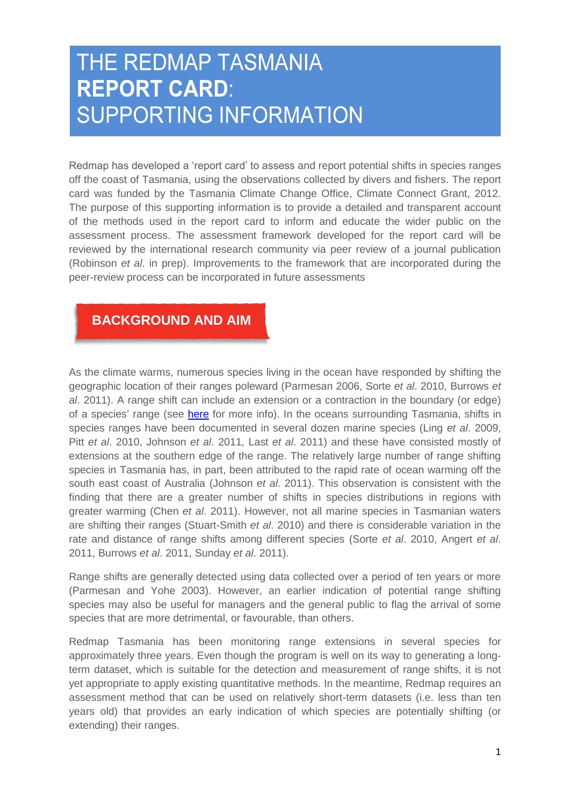# THE REDMAP TASMANIA **REPORT CARD: SUPPORTING INFORMATION**

Redmap has developed a "report card" to assess and report potential shifts in species ranges off the coast of Tasmania, using the observations collected by divers and fishers. The report card was funded by the Tasmania Climate Change Office, Climate Connect Grant, 2012. The purpose of this supporting information is to provide a detailed and transparent account of the methods used in the report card to inform and educate the wider public on the assessment process. The assessment framework developed for the report card will be reviewed by the international research community via peer review of a journal publication [\(Robinson](#page-8-0) *et al*. in prep). Improvements to the framework that are incorporated during the peer-review process can be incorporated in future assessments

# **BACKGROUND AND AIM**

As the climate warms, numerous species living in the ocean have responded by shifting the geographic location of their ranges poleward [\(Parmesan 2006,](#page-8-1) Sorte *et al*[. 2010,](#page-8-2) [Burrows](#page-7-0) *et al*[. 2011\)](#page-7-0). A range shift can include an extension or a contraction in the boundary (or edge) of a species' range (see [here](http://www.redmap.org.au/article/marine-species-are-on-the-move--but-what-exactly-is-a-range-shift/) for more info). In the oceans surrounding Tasmania, shifts in species ranges have been documented in several dozen marine species (Ling *et al*[. 2009,](#page-8-3) Pitt *et al*[. 2010,](#page-8-4) [Johnson](#page-8-5) *et al*. 2011, Last *et al*[. 2011\)](#page-8-6) and these have consisted mostly of extensions at the southern edge of the range. The relatively large number of range shifting species in Tasmania has, in part, been attributed to the rapid rate of ocean warming off the south east coast of Australia [\(Johnson](#page-8-5) *et al*. 2011). This observation is consistent with the finding that there are a greater number of shifts in species distributions in regions with greater warming (Chen *et al*[. 2011\)](#page-7-1). However, not all marine species in Tasmanian waters are shifting their ranges [\(Stuart-Smith](#page-8-7) *et al*. 2010) and there is considerable variation in the rate and distance of range shifts among different species (Sorte *et al*[. 2010,](#page-8-2) [Angert](#page-7-2) *et al*. [2011,](#page-7-2) [Burrows](#page-7-0) *et al*. 2011, [Sunday](#page-8-8) *et al*. 2011).

Range shifts are generally detected using data collected over a period of ten years or more [\(Parmesan and Yohe 2003\)](#page-8-9). However, an earlier indication of potential range shifting species may also be useful for managers and the general public to flag the arrival of some species that are more detrimental, or favourable, than others.

Redmap Tasmania has been monitoring range extensions in several species for approximately three years. Even though the program is well on its way to generating a longterm dataset, which is suitable for the detection and measurement of range shifts, it is not yet appropriate to apply existing quantitative methods. In the meantime, Redmap requires an assessment method that can be used on relatively short-term datasets (i.e. less than ten years old) that provides an early indication of which species are potentially shifting (or extending) their ranges.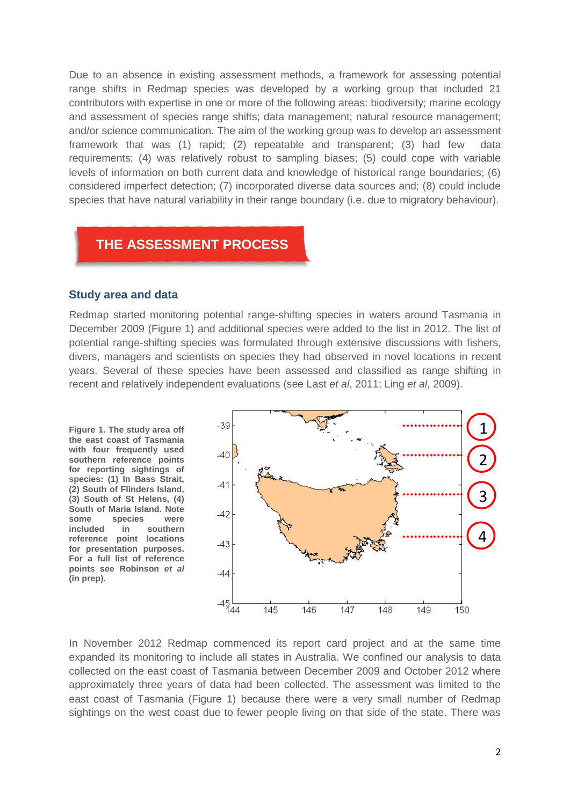Due to an absence in existing assessment methods, a framework for assessing potential range shifts in Redmap species was developed by a working group that included 21 contributors with expertise in one or more of the following areas: biodiversity; marine ecology and assessment of species range shifts; data management; natural resource management; and/or science communication. The aim of the working group was to develop an assessment framework that was (1) rapid; (2) repeatable and transparent; (3) had few data requirements; (4) was relatively robust to sampling biases; (5) could cope with variable levels of information on both current data and knowledge of historical range boundaries; (6) considered imperfect detection; (7) incorporated diverse data sources and; (8) could include species that have natural variability in their range boundary (i.e. due to migratory behaviour).

### **THE ASSESSMENT PROCESS**

#### **Study area and data**

Redmap started monitoring potential range-shifting species in waters around Tasmania in December 2009 (Figure 1) and additional species were added to the list in 2012. The list of potential range-shifting species was formulated through extensive discussions with fishers, divers, managers and scientists on species they had observed in novel locations in recent years. Several of these species have been assessed and classified as range shifting in recent and relatively independent evaluations (see Last *et al*, 2011; Ling *et al*, 2009).

**Figure 1. The study area off the east coast of Tasmania with four frequently used southern reference points for reporting sightings of species: (1) In Bass Strait, (2) South of Flinders Island, (3) South of St Helens, (4) South of Maria Island. Note some species were included in southern reference point locations for presentation purposes. For a full list of reference points see Robinson** *et al* **(in prep).** 



In November 2012 Redmap commenced its report card project and at the same time expanded its monitoring to include all states in Australia. We confined our analysis to data collected on the east coast of Tasmania between December 2009 and October 2012 where approximately three years of data had been collected. The assessment was limited to the east coast of Tasmania (Figure 1) because there were a very small number of Redmap sightings on the west coast due to fewer people living on that side of the state. There was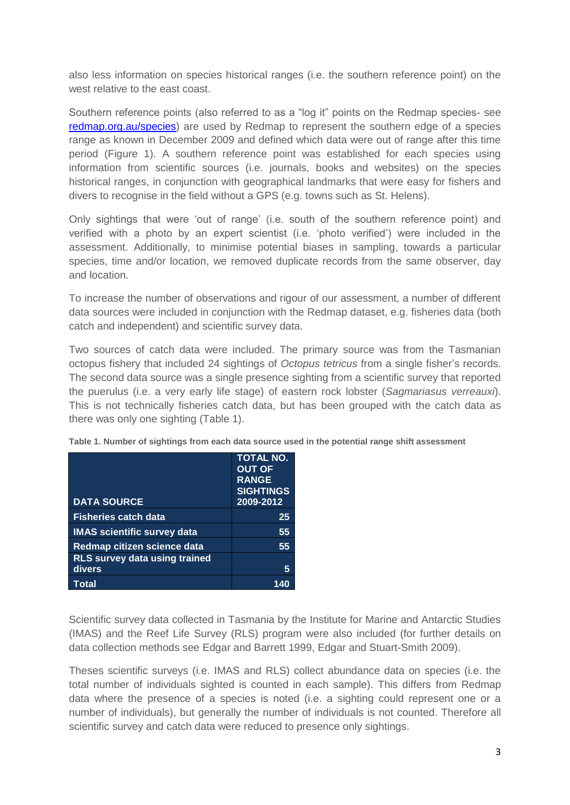also less information on species historical ranges (i.e. the southern reference point) on the west relative to the east coast.

Southern reference points (also referred to as a "log it" points on the Redmap species- see [redmap.org.au/species\)](file:///C:/Users/lucindar/Documents/redmap%20temp/report%20card/supporting%20information/redmap.org.au/species) are used by Redmap to represent the southern edge of a species range as known in December 2009 and defined which data were out of range after this time period (Figure 1). A southern reference point was established for each species using information from scientific sources (i.e. journals, books and websites) on the species historical ranges, in conjunction with geographical landmarks that were easy for fishers and divers to recognise in the field without a GPS (e.g. towns such as St. Helens).

Only sightings that were "out of range" (i.e. south of the southern reference point) and verified with a photo by an expert scientist (i.e. "photo verified") were included in the assessment. Additionally, to minimise potential biases in sampling, towards a particular species, time and/or location, we removed duplicate records from the same observer, day and location.

To increase the number of observations and rigour of our assessment, a number of different data sources were included in conjunction with the Redmap dataset, e.g. fisheries data (both catch and independent) and scientific survey data.

Two sources of catch data were included. The primary source was from the Tasmanian octopus fishery that included 24 sightings of *Octopus tetricus* from a single fisher"s records. The second data source was a single presence sighting from a scientific survey that reported the puerulus (i.e. a very early life stage) of eastern rock lobster (*Sagmariasus verreauxi*). This is not technically fisheries catch data, but has been grouped with the catch data as there was only one sighting (Table 1).

|                                                | <b>TOTAL NO.</b><br><b>OUT OF</b><br><b>RANGE</b><br><b>SIGHTINGS</b> |
|------------------------------------------------|-----------------------------------------------------------------------|
| <b>DATA SOURCE</b>                             | 2009-2012                                                             |
| <b>Fisheries catch data</b>                    | 25                                                                    |
| <b>IMAS</b> scientific survey data             | 55                                                                    |
| Redmap citizen science data                    | 55                                                                    |
| <b>RLS survey data using trained</b><br>divers | 5                                                                     |
| Total                                          |                                                                       |

**Table 1. Number of sightings from each data source used in the potential range shift assessment**

Scientific survey data collected in Tasmania by the Institute for Marine and Antarctic Studies (IMAS) and the Reef Life Survey (RLS) program were also included (for further details on data collection methods see [Edgar and Barrett 1999,](#page-8-10) [Edgar and Stuart-Smith 2009\)](#page-8-11).

Theses scientific surveys (i.e. IMAS and RLS) collect abundance data on species (i.e. the total number of individuals sighted is counted in each sample). This differs from Redmap data where the presence of a species is noted (i.e. a sighting could represent one or a number of individuals), but generally the number of individuals is not counted. Therefore all scientific survey and catch data were reduced to presence only sightings.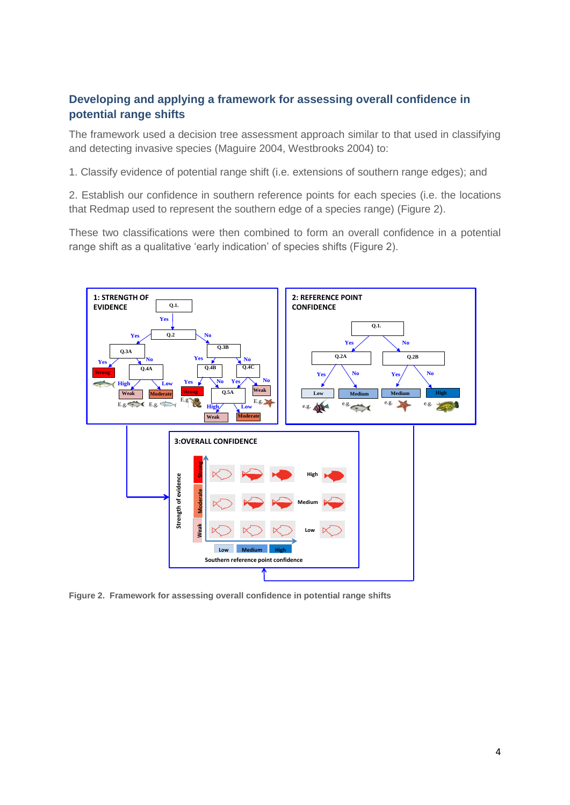### **Developing and applying a framework for assessing overall confidence in potential range shifts**

The framework used a decision tree assessment approach similar to that used in classifying and detecting invasive species [\(Maguire 2004,](#page-8-12) [Westbrooks 2004\)](#page-8-13) to:

1. Classify evidence of potential range shift (i.e. extensions of southern range edges); and

2. Establish our confidence in southern reference points for each species (i.e. the locations that Redmap used to represent the southern edge of a species range) (Figure 2).

These two classifications were then combined to form an overall confidence in a potential range shift as a qualitative "early indication" of species shifts (Figure 2).



**Figure 2. Framework for assessing overall confidence in potential range shifts**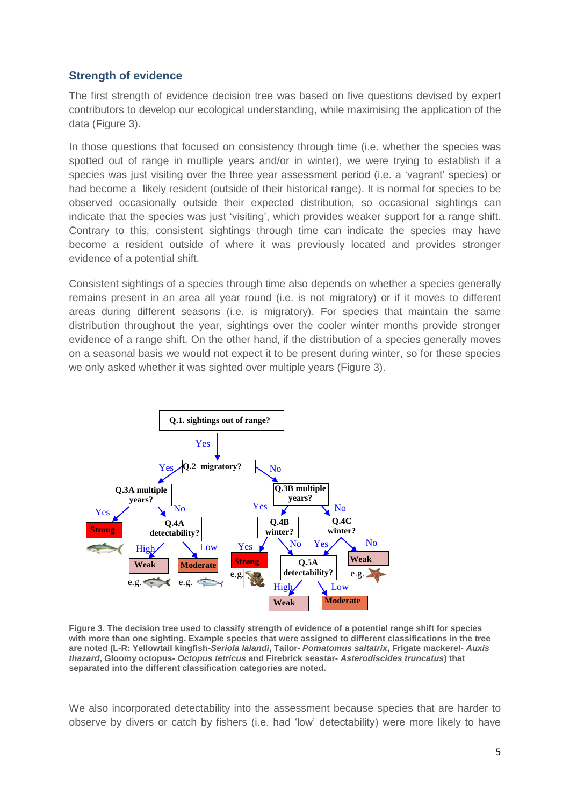#### **Strength of evidence**

The first strength of evidence decision tree was based on five questions devised by expert contributors to develop our ecological understanding, while maximising the application of the data (Figure 3).

In those questions that focused on consistency through time (i.e. whether the species was spotted out of range in multiple years and/or in winter), we were trying to establish if a species was just visiting over the three year assessment period (i.e. a "vagrant" species) or had become a likely resident (outside of their historical range). It is normal for species to be observed occasionally outside their expected distribution, so occasional sightings can indicate that the species was just "visiting", which provides weaker support for a range shift. Contrary to this, consistent sightings through time can indicate the species may have become a resident outside of where it was previously located and provides stronger evidence of a potential shift.

Consistent sightings of a species through time also depends on whether a species generally remains present in an area all year round (i.e. is not migratory) or if it moves to different areas during different seasons (i.e. is migratory). For species that maintain the same distribution throughout the year, sightings over the cooler winter months provide stronger evidence of a range shift. On the other hand, if the distribution of a species generally moves on a seasonal basis we would not expect it to be present during winter, so for these species we only asked whether it was sighted over multiple years (Figure 3).



**Figure 3. The decision tree used to classify strength of evidence of a potential range shift for species with more than one sighting. Example species that were assigned to different classifications in the tree are noted (L-R: Yellowtail kingfish-***Seriola lalandi***, Tailor-** *Pomatomus saltatrix***, Frigate mackerel-** *Auxis thazard***, Gloomy octopus-** *Octopus tetricus* **and Firebrick seastar-** *Asterodiscides truncatus***) that separated into the different classification categories are noted.** 

We also incorporated detectability into the assessment because species that are harder to observe by divers or catch by fishers (i.e. had "low" detectability) were more likely to have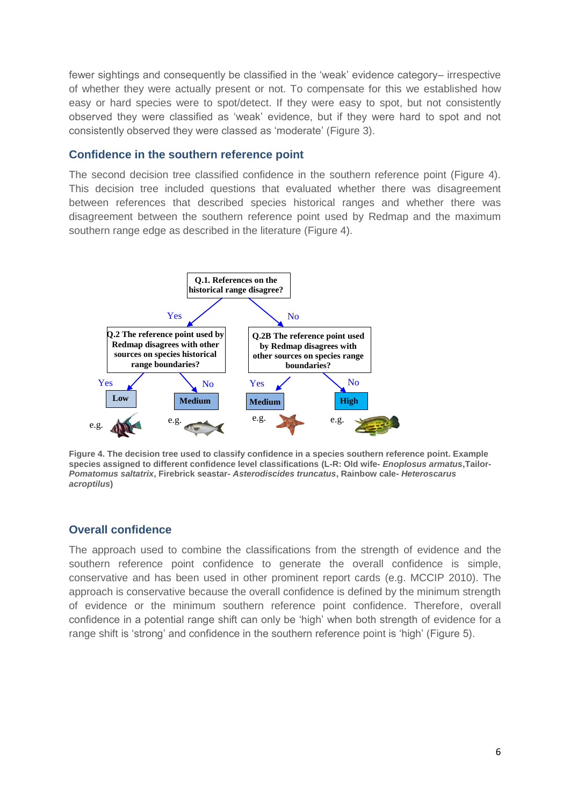fewer sightings and consequently be classified in the "weak" evidence category– irrespective of whether they were actually present or not. To compensate for this we established how easy or hard species were to spot/detect. If they were easy to spot, but not consistently observed they were classified as "weak" evidence, but if they were hard to spot and not consistently observed they were classed as "moderate" (Figure 3).

#### **Confidence in the southern reference point**

The second decision tree classified confidence in the southern reference point (Figure 4). This decision tree included questions that evaluated whether there was disagreement between references that described species historical ranges and whether there was disagreement between the southern reference point used by Redmap and the maximum southern range edge as described in the literature (Figure 4).



**Figure 4. The decision tree used to classify confidence in a species southern reference point. Example species assigned to different confidence level classifications (L-R: Old wife-** *Enoplosus armatus***,Tailor-***Pomatomus saltatrix***, Firebrick seastar-** *Asterodiscides truncatus***, Rainbow cale-** *Heteroscarus acroptilus***)**

#### **Overall confidence**

The approach used to combine the classifications from the strength of evidence and the southern reference point confidence to generate the overall confidence is simple, conservative and has been used in other prominent report cards [\(e.g. MCCIP 2010\)](#page-8-14). The approach is conservative because the overall confidence is defined by the minimum strength of evidence or the minimum southern reference point confidence. Therefore, overall confidence in a potential range shift can only be "high" when both strength of evidence for a range shift is 'strong' and confidence in the southern reference point is 'high' (Figure 5).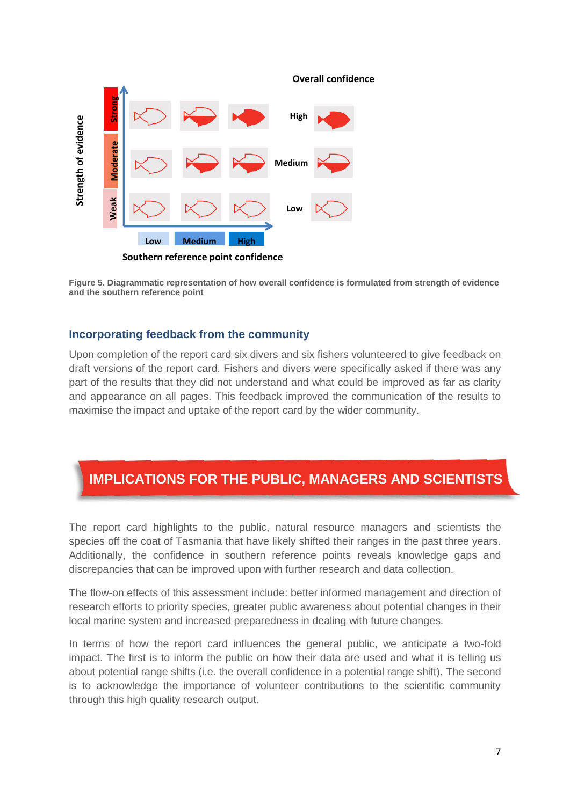

**Figure 5. Diagrammatic representation of how overall confidence is formulated from strength of evidence and the southern reference point**

#### **Incorporating feedback from the community**

Upon completion of the report card six divers and six fishers volunteered to give feedback on draft versions of the report card. Fishers and divers were specifically asked if there was any part of the results that they did not understand and what could be improved as far as clarity and appearance on all pages. This feedback improved the communication of the results to maximise the impact and uptake of the report card by the wider community.

# **IMPLICATIONS FOR THE PUBLIC, MANAGERS AND SCIENTISTS**

The report card highlights to the public, natural resource managers and scientists the species off the coat of Tasmania that have likely shifted their ranges in the past three years. Additionally, the confidence in southern reference points reveals knowledge gaps and discrepancies that can be improved upon with further research and data collection.

The flow-on effects of this assessment include: better informed management and direction of research efforts to priority species, greater public awareness about potential changes in their local marine system and increased preparedness in dealing with future changes.

In terms of how the report card influences the general public, we anticipate a two-fold impact. The first is to inform the public on how their data are used and what it is telling us about potential range shifts (i.e. the overall confidence in a potential range shift). The second is to acknowledge the importance of volunteer contributions to the scientific community through this high quality research output.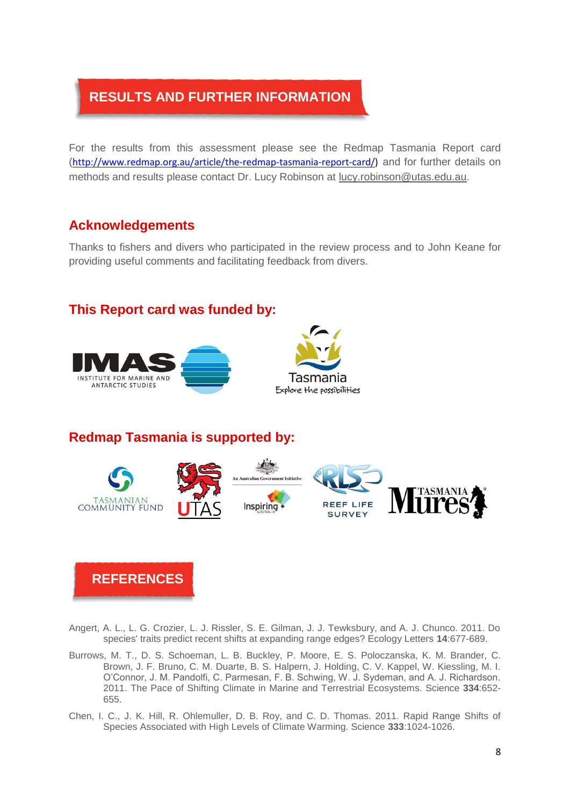# **RESULTS AND FURTHER INFORMATION**

For the results from this assessment please see the Redmap Tasmania Report card ([http://www.redmap.org.au/article/the-redmap-tasmania-report-card/\)](http://www.redmap.org.au/article/the-redmap-tasmania-report-card/) and for further details on methods and results please contact Dr. Lucy Robinson at [lucy.robinson@utas.edu.au.](mailto:lucy.robinson@utas.edu.au)

## **Acknowledgements**

Thanks to fishers and divers who participated in the review process and to John Keane for providing useful comments and facilitating feedback from divers.

### **This Report card was funded by:**



# **Redmap Tasmania is supported by:**



# **REFERENCES**

- <span id="page-7-2"></span>Angert, A. L., L. G. Crozier, L. J. Rissler, S. E. Gilman, J. J. Tewksbury, and A. J. Chunco. 2011. Do species' traits predict recent shifts at expanding range edges? Ecology Letters **14**:677-689.
- <span id="page-7-0"></span>Burrows, M. T., D. S. Schoeman, L. B. Buckley, P. Moore, E. S. Poloczanska, K. M. Brander, C. Brown, J. F. Bruno, C. M. Duarte, B. S. Halpern, J. Holding, C. V. Kappel, W. Kiessling, M. I. O"Connor, J. M. Pandolfi, C. Parmesan, F. B. Schwing, W. J. Sydeman, and A. J. Richardson. 2011. The Pace of Shifting Climate in Marine and Terrestrial Ecosystems. Science **334**:652- 655.
- <span id="page-7-1"></span>Chen, I. C., J. K. Hill, R. Ohlemuller, D. B. Roy, and C. D. Thomas. 2011. Rapid Range Shifts of Species Associated with High Levels of Climate Warming. Science **333**:1024-1026.